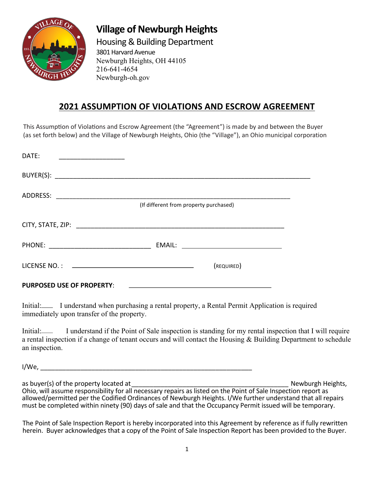

## **Village of Newburgh Heights**

Housing & Building Department 3801 Harvard Avenue Newburgh Heights, OH 44105 216-641-4654 Newburgh-oh.gov

## **2021 ASSUMPTION OF VIOLATIONS AND ESCROW AGREEMENT**

This Assumption of Violations and Escrow Agreement (the "Agreement") is made by and between the Buyer (as set forth below) and the Village of Newburgh Heights, Ohio (the "Village"), an Ohio municipal corporation

| DATF:                                    |                                        |                                                                                                                       |  |
|------------------------------------------|----------------------------------------|-----------------------------------------------------------------------------------------------------------------------|--|
|                                          |                                        |                                                                                                                       |  |
| ADDRESS:                                 | (If different from property purchased) |                                                                                                                       |  |
|                                          |                                        |                                                                                                                       |  |
|                                          |                                        |                                                                                                                       |  |
| PHONE: _________________________________ |                                        |                                                                                                                       |  |
|                                          |                                        | (REQUIRED)                                                                                                            |  |
| <b>PURPOSED USE OF PROPERTY:</b>         |                                        | <u> 1989 - Johann Harry Harry Harry Harry Harry Harry Harry Harry Harry Harry Harry Harry Harry Harry Harry Harry</u> |  |

Initial: I understand when purchasing a rental property, a Rental Permit Application is required immediately upon transfer of the property.

Initial: I understand if the Point of Sale inspection is standing for my rental inspection that I will require a rental inspection if a change of tenant occurs and will contact the Housing & Building Department to schedule an inspection.

I/We, \_\_\_\_\_\_\_\_\_\_\_\_\_\_\_\_\_\_\_\_\_\_\_\_\_\_\_\_\_\_\_\_\_\_\_\_\_\_\_\_\_\_\_\_\_\_\_\_\_\_\_\_\_\_\_\_\_\_

as buyer(s) of the property located at \_\_\_\_\_\_\_\_\_\_\_\_\_\_\_\_\_\_\_\_\_\_\_\_\_\_\_\_\_\_\_\_\_\_\_\_\_\_\_\_\_\_\_ Newburgh Heights, Ohio, will assume responsibility for all necessary repairs as listed on the Point of Sale Inspection report as allowed/permitted per the Codified Ordinances of Newburgh Heights. I/We further understand that all repairs must be completed within ninety (90) days of sale and that the Occupancy Permit issued will be temporary.

The Point of Sale Inspection Report is hereby incorporated into this Agreement by reference as if fully rewritten herein. Buyer acknowledges that a copy of the Point of Sale Inspection Report has been provided to the Buyer.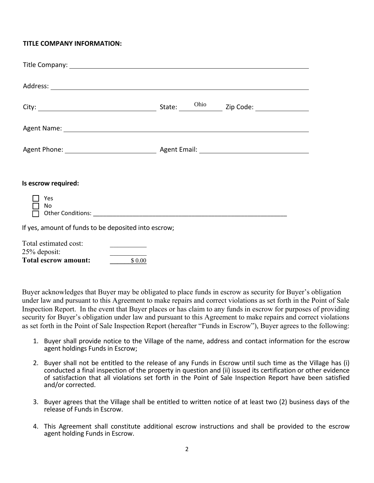## **TITLE COMPANY INFORMATION:**

| Agent Name: 1988 and 2008 and 2008 and 2008 and 2008 and 2008 and 2008 and 2008 and 2008 and 2008 and 2008 and 2008 and 2008 and 2008 and 2008 and 2008 and 2008 and 2008 and 2008 and 2008 and 2008 and 2008 and 2008 and 200 |  |  |
|--------------------------------------------------------------------------------------------------------------------------------------------------------------------------------------------------------------------------------|--|--|
|                                                                                                                                                                                                                                |  |  |
|                                                                                                                                                                                                                                |  |  |
|                                                                                                                                                                                                                                |  |  |
|                                                                                                                                                                                                                                |  |  |
| Is escrow required:                                                                                                                                                                                                            |  |  |
|                                                                                                                                                                                                                                |  |  |
| Yes<br>No                                                                                                                                                                                                                      |  |  |
|                                                                                                                                                                                                                                |  |  |
| If yes, amount of funds to be deposited into escrow;                                                                                                                                                                           |  |  |
|                                                                                                                                                                                                                                |  |  |
| Total estimated cost:<br><u> The Common State Common</u>                                                                                                                                                                       |  |  |
| 25% deposit:                                                                                                                                                                                                                   |  |  |
| <b>Total escrow amount:</b><br>\$0.00                                                                                                                                                                                          |  |  |

Buyer acknowledges that Buyer may be obligated to place funds in escrow as security for Buyer's obligation under law and pursuant to this Agreement to make repairs and correct violations as set forth in the Point of Sale Inspection Report. In the event that Buyer places or has claim to any funds in escrow for purposes of providing security for Buyer's obligation under law and pursuant to this Agreement to make repairs and correct violations as set forth in the Point of Sale Inspection Report (hereafter "Funds in Escrow"), Buyer agrees to the following:

- 1. Buyer shall provide notice to the Village of the name, address and contact information for the escrow agent holdings Funds in Escrow;
- 2. Buyer shall not be entitled to the release of any Funds in Escrow until such time as the Village has (i) conducted a final inspection of the property in question and (ii) issued its certification or other evidence of satisfaction that all violations set forth in the Point of Sale Inspection Report have been satisfied and/or corrected.
- 3. Buyer agrees that the Village shall be entitled to written notice of at least two (2) business days of the release of Funds in Escrow.
- 4. This Agreement shall constitute additional escrow instructions and shall be provided to the escrow agent holding Funds in Escrow.